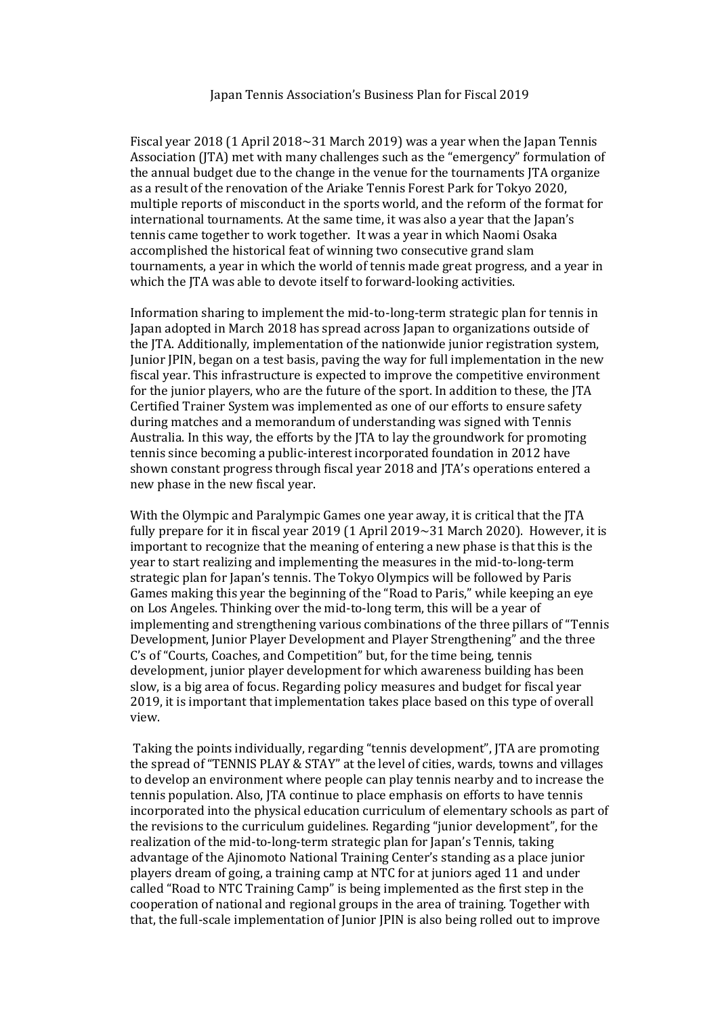## Japan Tennis Association's Business Plan for Fiscal 2019

Fiscal year 2018 (1 April 2018~31 March 2019) was a year when the Japan Tennis Association (JTA) met with many challenges such as the "emergency" formulation of the annual budget due to the change in the venue for the tournaments JTA organize as a result of the renovation of the Ariake Tennis Forest Park for Tokyo 2020, multiple reports of misconduct in the sports world, and the reform of the format for international tournaments. At the same time, it was also a year that the Japan's tennis came together to work together. It was a year in which Naomi Osaka accomplished the historical feat of winning two consecutive grand slam tournaments, a year in which the world of tennis made great progress, and a year in which the JTA was able to devote itself to forward-looking activities.

Information sharing to implement the mid-to-long-term strategic plan for tennis in Japan adopted in March 2018 has spread across Japan to organizations outside of the JTA. Additionally, implementation of the nationwide junior registration system, Junior JPIN, began on a test basis, paving the way for full implementation in the new fiscal year. This infrastructure is expected to improve the competitive environment for the junior players, who are the future of the sport. In addition to these, the JTA Certified Trainer System was implemented as one of our efforts to ensure safety during matches and a memorandum of understanding was signed with Tennis Australia. In this way, the efforts by the JTA to lay the groundwork for promoting tennis since becoming a public-interest incorporated foundation in 2012 have shown constant progress through fiscal year 2018 and JTA's operations entered a new phase in the new fiscal year.

With the Olympic and Paralympic Games one year away, it is critical that the JTA fully prepare for it in fiscal year 2019 (1 April  $2019~\text{--}31$  March 2020). However, it is important to recognize that the meaning of entering a new phase is that this is the year to start realizing and implementing the measures in the mid-to-long-term strategic plan for Japan's tennis. The Tokyo Olympics will be followed by Paris Games making this year the beginning of the "Road to Paris," while keeping an eye on Los Angeles. Thinking over the mid-to-long term, this will be a year of implementing and strengthening various combinations of the three pillars of "Tennis Development, Junior Player Development and Player Strengthening" and the three C's of "Courts, Coaches, and Competition" but, for the time being, tennis development, junior player development for which awareness building has been slow, is a big area of focus. Regarding policy measures and budget for fiscal year 2019, it is important that implementation takes place based on this type of overall view.

Taking the points individually, regarding "tennis development", JTA are promoting the spread of "TENNIS PLAY & STAY" at the level of cities, wards, towns and villages to develop an environment where people can play tennis nearby and to increase the tennis population. Also, JTA continue to place emphasis on efforts to have tennis incorporated into the physical education curriculum of elementary schools as part of the revisions to the curriculum guidelines. Regarding "junior development", for the realization of the mid-to-long-term strategic plan for Japan's Tennis, taking advantage of the Ajinomoto National Training Center's standing as a place junior players dream of going, a training camp at NTC for at juniors aged 11 and under called "Road to NTC Training Camp" is being implemented as the first step in the cooperation of national and regional groups in the area of training. Together with that, the full-scale implementation of Junior JPIN is also being rolled out to improve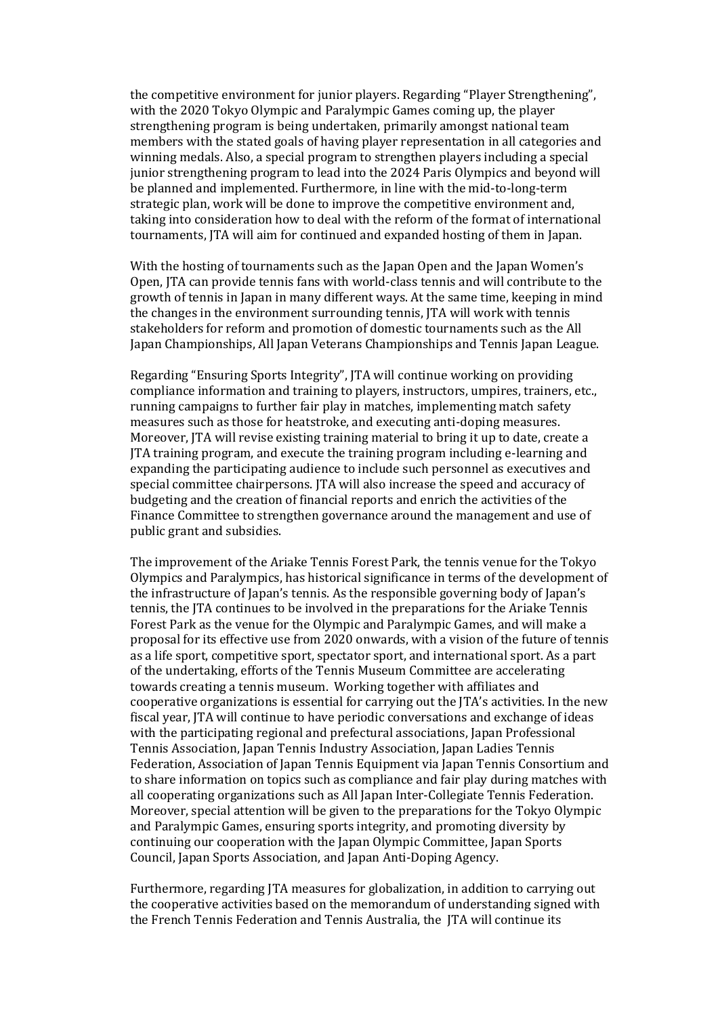the competitive environment for junior players. Regarding "Player Strengthening", with the 2020 Tokyo Olympic and Paralympic Games coming up, the player strengthening program is being undertaken, primarily amongst national team members with the stated goals of having player representation in all categories and winning medals. Also, a special program to strengthen players including a special junior strengthening program to lead into the 2024 Paris Olympics and beyond will be planned and implemented. Furthermore, in line with the mid-to-long-term strategic plan, work will be done to improve the competitive environment and, taking into consideration how to deal with the reform of the format of international tournaments, JTA will aim for continued and expanded hosting of them in Japan.

With the hosting of tournaments such as the Japan Open and the Japan Women's Open, JTA can provide tennis fans with world-class tennis and will contribute to the growth of tennis in Japan in many different ways. At the same time, keeping in mind the changes in the environment surrounding tennis, JTA will work with tennis stakeholders for reform and promotion of domestic tournaments such as the All Japan Championships, All Japan Veterans Championships and Tennis Japan League.

Regarding "Ensuring Sports Integrity", JTA will continue working on providing compliance information and training to players, instructors, umpires, trainers, etc., running campaigns to further fair play in matches, implementing match safety measures such as those for heatstroke, and executing anti-doping measures. Moreover, JTA will revise existing training material to bring it up to date, create a JTA training program, and execute the training program including e-learning and expanding the participating audience to include such personnel as executives and special committee chairpersons. JTA will also increase the speed and accuracy of budgeting and the creation of financial reports and enrich the activities of the Finance Committee to strengthen governance around the management and use of public grant and subsidies.

The improvement of the Ariake Tennis Forest Park, the tennis venue for the Tokyo Olympics and Paralympics, has historical significance in terms of the development of the infrastructure of Japan's tennis. As the responsible governing body of Japan's tennis, the JTA continues to be involved in the preparations for the Ariake Tennis Forest Park as the venue for the Olympic and Paralympic Games, and will make a proposal for its effective use from 2020 onwards, with a vision of the future of tennis as a life sport, competitive sport, spectator sport, and international sport. As a part of the undertaking, efforts of the Tennis Museum Committee are accelerating towards creating a tennis museum. Working together with affiliates and cooperative organizations is essential for carrying out the JTA's activities. In the new fiscal year, JTA will continue to have periodic conversations and exchange of ideas with the participating regional and prefectural associations, Japan Professional Tennis Association, Japan Tennis Industry Association, Japan Ladies Tennis Federation, Association of Japan Tennis Equipment via Japan Tennis Consortium and to share information on topics such as compliance and fair play during matches with all cooperating organizations such as All Japan Inter-Collegiate Tennis Federation. Moreover, special attention will be given to the preparations for the Tokyo Olympic and Paralympic Games, ensuring sports integrity, and promoting diversity by continuing our cooperation with the Japan Olympic Committee, Japan Sports Council, Japan Sports Association, and Japan Anti-Doping Agency.

Furthermore, regarding JTA measures for globalization, in addition to carrying out the cooperative activities based on the memorandum of understanding signed with the French Tennis Federation and Tennis Australia, the JTA will continue its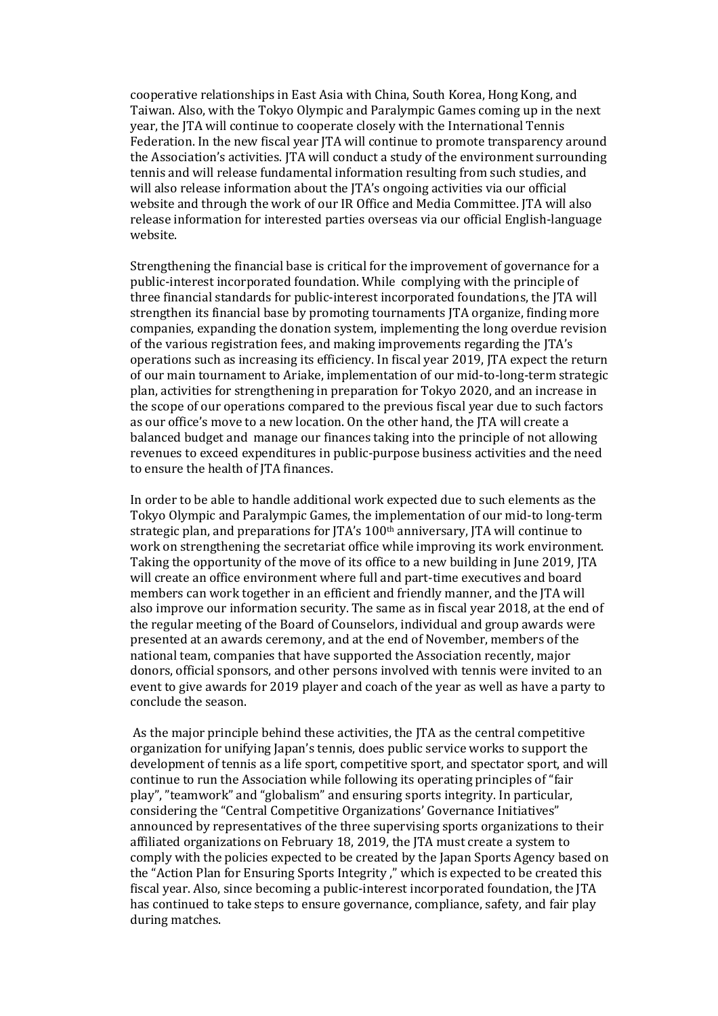cooperative relationships in East Asia with China, South Korea, Hong Kong, and Taiwan. Also, with the Tokyo Olympic and Paralympic Games coming up in the next year, the JTA will continue to cooperate closely with the International Tennis Federation. In the new fiscal year ITA will continue to promote transparency around the Association's activities. JTA will conduct a study of the environment surrounding tennis and will release fundamental information resulting from such studies, and will also release information about the JTA's ongoing activities via our official website and through the work of our IR Office and Media Committee. JTA will also release information for interested parties overseas via our official English-language website.

Strengthening the financial base is critical for the improvement of governance for a public-interest incorporated foundation. While complying with the principle of three financial standards for public-interest incorporated foundations, the JTA will strengthen its financial base by promoting tournaments JTA organize, finding more companies, expanding the donation system, implementing the long overdue revision of the various registration fees, and making improvements regarding the JTA's operations such as increasing its efficiency. In fiscal year 2019, JTA expect the return of our main tournament to Ariake, implementation of our mid-to-long-term strategic plan, activities for strengthening in preparation for Tokyo 2020, and an increase in the scope of our operations compared to the previous fiscal year due to such factors as our office's move to a new location. On the other hand, the JTA will create a balanced budget and manage our finances taking into the principle of not allowing revenues to exceed expenditures in public-purpose business activities and the need to ensure the health of JTA finances.

In order to be able to handle additional work expected due to such elements as the Tokyo Olympic and Paralympic Games, the implementation of our mid-to long-term strategic plan, and preparations for  $|TA's 100<sup>th</sup>$  anniversary, JTA will continue to work on strengthening the secretariat office while improving its work environment. Taking the opportunity of the move of its office to a new building in June 2019, JTA will create an office environment where full and part-time executives and board members can work together in an efficient and friendly manner, and the JTA will also improve our information security. The same as in fiscal year 2018, at the end of the regular meeting of the Board of Counselors, individual and group awards were presented at an awards ceremony, and at the end of November, members of the national team, companies that have supported the Association recently, major donors, official sponsors, and other persons involved with tennis were invited to an event to give awards for 2019 player and coach of the year as well as have a party to conclude the season.

As the major principle behind these activities, the JTA as the central competitive organization for unifying Japan's tennis, does public service works to support the development of tennis as a life sport, competitive sport, and spectator sport, and will continue to run the Association while following its operating principles of "fair play", "teamwork" and "globalism" and ensuring sports integrity. In particular, considering the "Central Competitive Organizations' Governance Initiatives" announced by representatives of the three supervising sports organizations to their affiliated organizations on February 18, 2019, the JTA must create a system to comply with the policies expected to be created by the Japan Sports Agency based on the "Action Plan for Ensuring Sports Integrity ," which is expected to be created this fiscal year. Also, since becoming a public-interest incorporated foundation, the JTA has continued to take steps to ensure governance, compliance, safety, and fair play during matches.